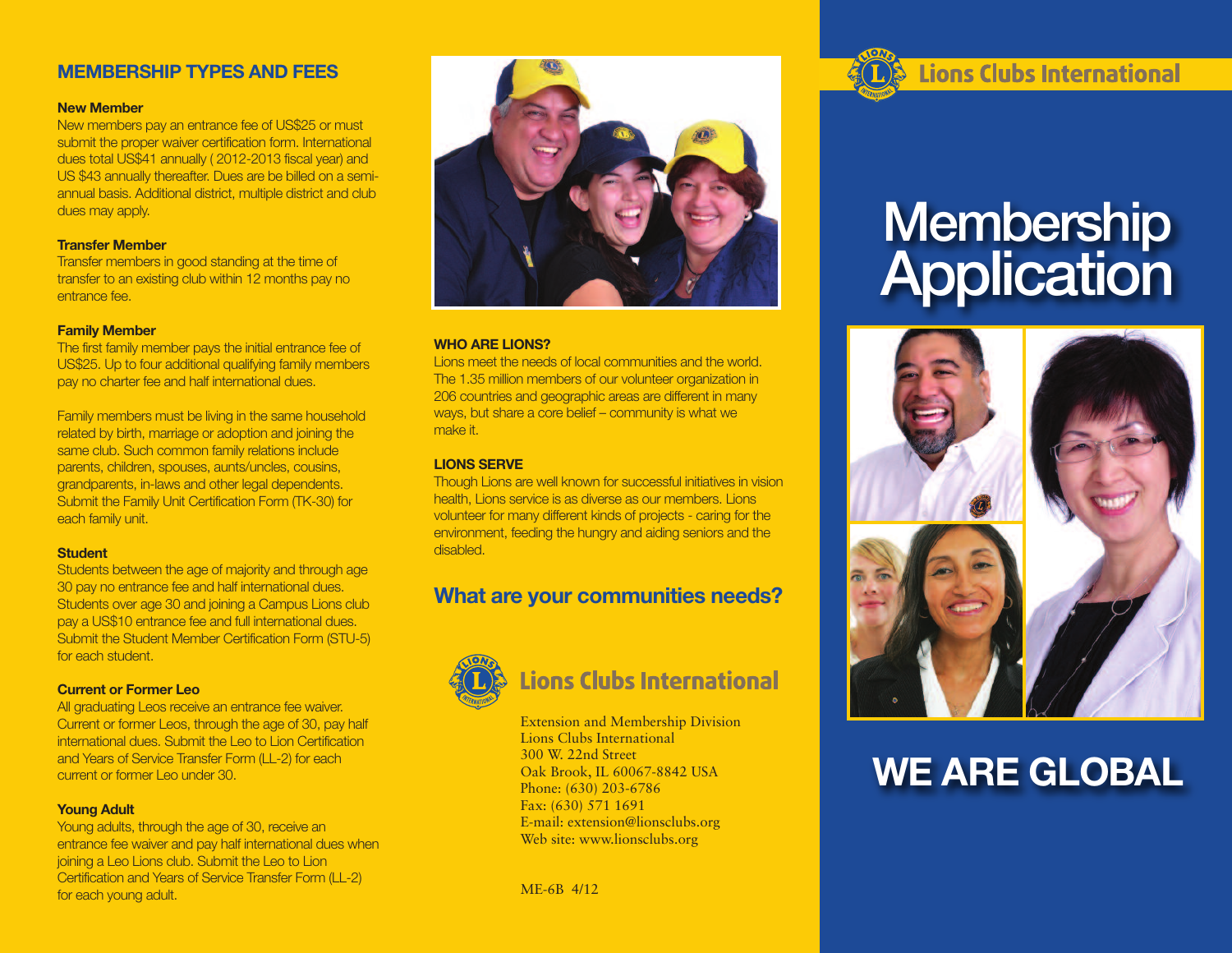### **MEMBERSHIP TYPES AND FEES**

#### **New Member**

New members pay an entrance fee of US\$25 or must submit the proper waiver certification form. International dues total US\$41 annually ( 2012-2013 fiscal year) and US \$43 annually thereafter. Dues are be billed on a semiannual basis. Additional district, multiple district and club dues may apply.

#### **Transfer Member**

Transfer members in good standing at the time of transfer to an existing club within 12 months pay no entrance fee.

#### **Family Member**

The first family member pays the initial entrance fee of US\$25. Up to four additional qualifying family members pay no charter fee and half international dues.

Family members must be living in the same household related by birth, marriage or adoption and joining the same club. Such common family relations include parents, children, spouses, aunts/uncles, cousins, grandparents, in-laws and other legal dependents. Submit the Family Unit Certification Form (TK-30) for each family unit.

#### **Student**

Students between the age of majority and through age 30 pay no entrance fee and half international dues. Students over age 30 and joining a Campus Lions club pay a US\$10 entrance fee and full international dues. Submit the Student Member Certification Form (STU-5) for each student.

#### **Current or Former Leo**

All graduating Leos receive an entrance fee waiver. Current or former Leos, through the age of 30, pay half international dues. Submit the Leo to Lion Certification and Years of Service Transfer Form (LL-2) for each current or former Leo under 30.

#### **Young Adult**

Young adults, through the age of 30, receive an entrance fee waiver and pay half international dues when joining a Leo Lions club. Submit the Leo to Lion Certification and Years of Service Transfer Form (LL-2) for each young adult.



#### **WHO ARE LIONS?**

Lions meet the needs of local communities and the world. The 1.35 million members of our volunteer organization in 206 countries and geographic areas are different in many ways, but share a core belief – community is what we make it.

#### **LIONS SERVE**

Though Lions are well known for successful initiatives in vision health, Lions service is as diverse as our members. Lions volunteer for many different kinds of projects - caring for the environment, feeding the hungry and aiding seniors and the disabled.

## **What are your communities needs?**



# **Lions Clubs International**

Extension and Membership Division Lions Clubs International 300 W. 22nd Street Oak Brook, IL 60067-8842 USA Phone: (630) 203-6786 Fax: (630) 571 1691 E-mail: extension@lionsclubs.org Web site: www.lionsclubs.org

ME-6B 4/12

# **Lions Clubs International**

# **Membership Application**



# **WE ARE GLOBAL**